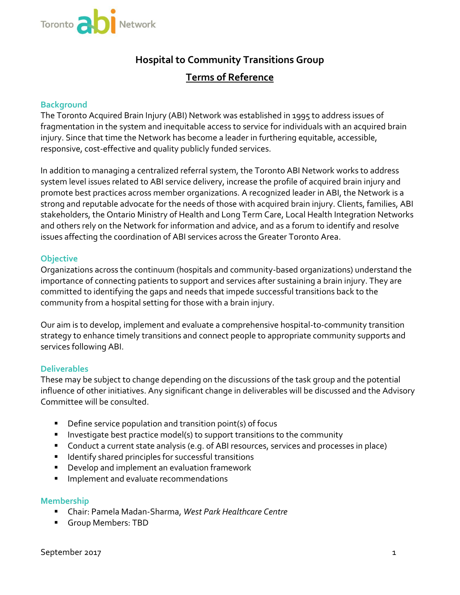

# **Hospital to Community Transitions Group Terms of Reference**

## **Background**

The Toronto Acquired Brain Injury (ABI) Network was established in 1995 to address issues of fragmentation in the system and inequitable access to service for individuals with an acquired brain injury. Since that time the Network has become a leader in furthering equitable, accessible, responsive, cost-effective and quality publicly funded services.

In addition to managing a centralized referral system, the Toronto ABI Network works to address system level issues related to ABI service delivery, increase the profile of acquired brain injury and promote best practices across member organizations. A recognized leader in ABI, the Network is a strong and reputable advocate for the needs of those with acquired brain injury. Clients, families, ABI stakeholders, the Ontario Ministry of Health and Long Term Care, Local Health Integration Networks and others rely on the Network for information and advice, and as a forum to identify and resolve issues affecting the coordination of ABI services across the Greater Toronto Area.

## **Objective**

importance of connecting patients to support and services after sustaining a brain injury. They are Organizations across the continuum (hospitals and community-based organizations) understand the committed to identifying the gaps and needs that impede successful transitions back to the community from a hospital setting for those with a brain injury.

Our aim is to develop, implement and evaluate a comprehensive hospital-to-community transition strategy to enhance timely transitions and connect people to appropriate community supports and services following ABI.

## **Deliverables**

These may be subject to change depending on the discussions of the task group and the potential influence of other initiatives. Any significant change in deliverables will be discussed and the Advisory Committee will be consulted.

- **•** Define service population and transition point(s) of focus
- **IDED** Investigate best practice model(s) to support transitions to the community
- Conduct a current state analysis (e.g. of ABI resources, services and processes in place)
- **IDENTIFY** shared principles for successful transitions
- **Develop and implement an evaluation framework**
- Implement and evaluate recommendations

#### **Membership**

- Chair: Pamela Madan-Sharma, *West Park Healthcare Centre*
- Group Members: TBD